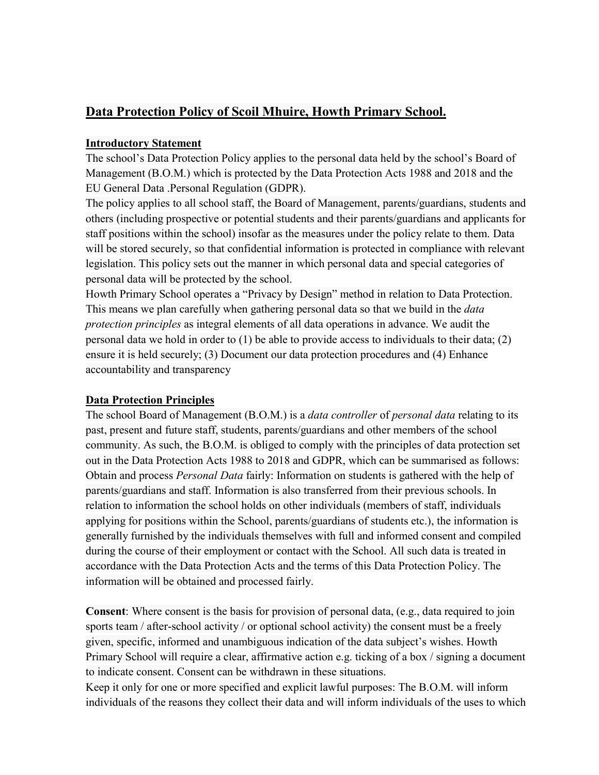# **Data Protection Policy of Scoil Mhuire, Howth Primary School.**

### **Introductory Statement**

The school's Data Protection Policy applies to the personal data held by the school's Board of Management (B.O.M.) which is protected by the Data Protection Acts 1988 and 2018 and the EU General Data .Personal Regulation (GDPR).

The policy applies to all school staff, the Board of Management, parents/guardians, students and others (including prospective or potential students and their parents/guardians and applicants for staff positions within the school) insofar as the measures under the policy relate to them. Data will be stored securely, so that confidential information is protected in compliance with relevant legislation. This policy sets out the manner in which personal data and special categories of personal data will be protected by the school.

Howth Primary School operates a "Privacy by Design" method in relation to Data Protection. This means we plan carefully when gathering personal data so that we build in the *data protection principles* as integral elements of all data operations in advance. We audit the personal data we hold in order to (1) be able to provide access to individuals to their data; (2) ensure it is held securely; (3) Document our data protection procedures and (4) Enhance accountability and transparency

### **Data Protection Principles**

The school Board of Management (B.O.M.) is a *data controller* of *personal data* relating to its past, present and future staff, students, parents/guardians and other members of the school community. As such, the B.O.M. is obliged to comply with the principles of data protection set out in the Data Protection Acts 1988 to 2018 and GDPR, which can be summarised as follows: Obtain and process *Personal Data* fairly: Information on students is gathered with the help of parents/guardians and staff. Information is also transferred from their previous schools. In relation to information the school holds on other individuals (members of staff, individuals applying for positions within the School, parents/guardians of students etc.), the information is generally furnished by the individuals themselves with full and informed consent and compiled during the course of their employment or contact with the School. All such data is treated in accordance with the Data Protection Acts and the terms of this Data Protection Policy. The information will be obtained and processed fairly.

**Consent**: Where consent is the basis for provision of personal data, (e.g., data required to join sports team / after-school activity / or optional school activity) the consent must be a freely given, specific, informed and unambiguous indication of the data subject's wishes. Howth Primary School will require a clear, affirmative action e.g. ticking of a box / signing a document to indicate consent. Consent can be withdrawn in these situations.

Keep it only for one or more specified and explicit lawful purposes: The B.O.M. will inform individuals of the reasons they collect their data and will inform individuals of the uses to which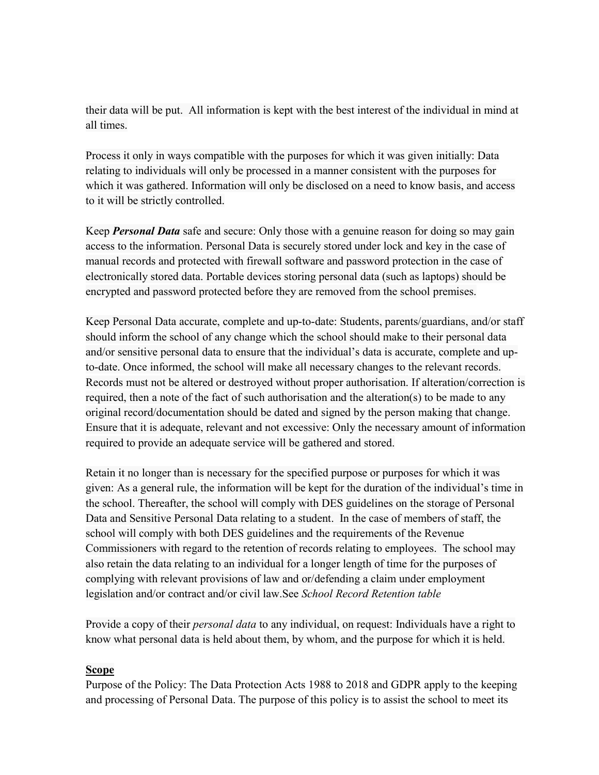their data will be put. All information is kept with the best interest of the individual in mind at all times.

Process it only in ways compatible with the purposes for which it was given initially: Data relating to individuals will only be processed in a manner consistent with the purposes for which it was gathered. Information will only be disclosed on a need to know basis, and access to it will be strictly controlled.

Keep *Personal Data* safe and secure: Only those with a genuine reason for doing so may gain access to the information. Personal Data is securely stored under lock and key in the case of manual records and protected with firewall software and password protection in the case of electronically stored data. Portable devices storing personal data (such as laptops) should be encrypted and password protected before they are removed from the school premises.

Keep Personal Data accurate, complete and up-to-date: Students, parents/guardians, and/or staff should inform the school of any change which the school should make to their personal data and/or sensitive personal data to ensure that the individual's data is accurate, complete and upto-date. Once informed, the school will make all necessary changes to the relevant records. Records must not be altered or destroyed without proper authorisation. If alteration/correction is required, then a note of the fact of such authorisation and the alteration(s) to be made to any original record/documentation should be dated and signed by the person making that change. Ensure that it is adequate, relevant and not excessive: Only the necessary amount of information required to provide an adequate service will be gathered and stored.

Retain it no longer than is necessary for the specified purpose or purposes for which it was given: As a general rule, the information will be kept for the duration of the individual's time in the school. Thereafter, the school will comply with DES guidelines on the storage of Personal Data and Sensitive Personal Data relating to a student. In the case of members of staff, the school will comply with both DES guidelines and the requirements of the Revenue Commissioners with regard to the retention of records relating to employees. The school may also retain the data relating to an individual for a longer length of time for the purposes of complying with relevant provisions of law and or/defending a claim under employment legislation and/or contract and/or civil law.See *School Record Retention table*

Provide a copy of their *personal data* to any individual, on request: Individuals have a right to know what personal data is held about them, by whom, and the purpose for which it is held.

### **Scope**

Purpose of the Policy: The Data Protection Acts 1988 to 2018 and GDPR apply to the keeping and processing of Personal Data. The purpose of this policy is to assist the school to meet its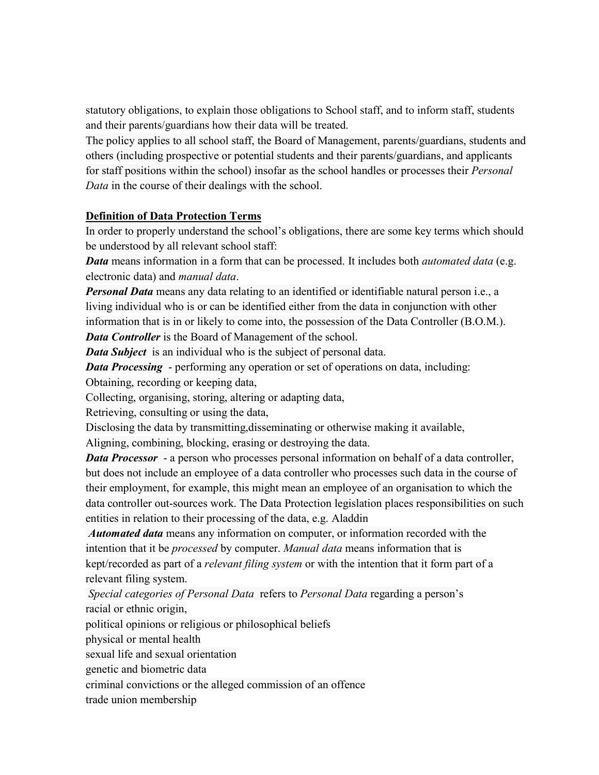statutory obligations, to explain those obligations to School staff, and to inform staff, students and their parents/guardians how their data will be treated.

The policy applies to all school staff, the Board of Management, parents/guardians, students and others (including prospective or potential students and their parents/guardians, and applicants for staff positions within the school) insofar as the school handles or processes their *Personal Data* in the course of their dealings with the school.

### **Definition of Data Protection Terms**

In order to properly understand the school's obligations, there are some key terms which should be understood by all relevant school staff:

*Data* means information in a form that can be processed. It includes both *automated data* (e.g. electronic data) and *manual data*.

*Personal Data* means any data relating to an identified or identifiable natural person i.e., a living individual who is or can be identified either from the data in conjunction with other information that is in or likely to come into, the possession of the Data Controller (B.O.M.). *Data Controller* is the Board of Management of the school.

*Data Subject* is an individual who is the subject of personal data.

*Data Processing* - performing any operation or set of operations on data, including:

Obtaining, recording or keeping data,

Collecting, organising, storing, altering or adapting data,

Retrieving, consulting or using the data,

Disclosing the data by transmitting,disseminating or otherwise making it available, Aligning, combining, blocking, erasing or destroying the data.

*Data Processor* - a person who processes personal information on behalf of a data controller, but does not include an employee of a data controller who processes such data in the course of their employment, for example, this might mean an employee of an organisation to which the data controller out-sources work. The Data Protection legislation places responsibilities on such entities in relation to their processing of the data, e.g. Aladdin

*Automated data* means any information on computer, or information recorded with the intention that it be *processed* by computer. *Manual data* means information that is kept/recorded as part of a *relevant filing system* or with the intention that it form part of a relevant filing system.

*Special categories of Personal Data* refers to *Personal Data* regarding a person's racial or ethnic origin,

political opinions or religious or philosophical beliefs

physical or mental health

sexual life and sexual orientation

genetic and biometric data

criminal convictions or the alleged commission of an offence

trade union membership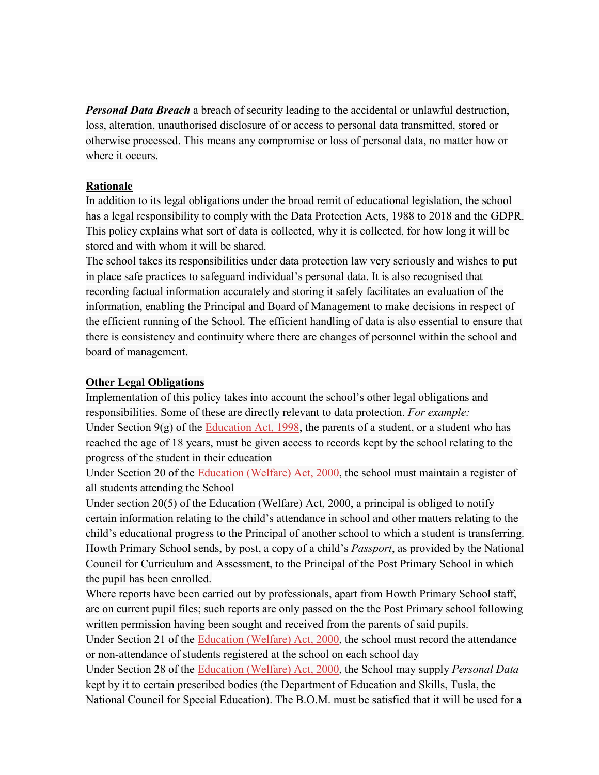*Personal Data Breach* a breach of security leading to the accidental or unlawful destruction, loss, alteration, unauthorised disclosure of or access to personal data transmitted, stored or otherwise processed. This means any compromise or loss of personal data, no matter how or where it occurs.

### **Rationale**

In addition to its legal obligations under the broad remit of educational legislation, the school has a legal responsibility to comply with the Data Protection Acts, 1988 to 2018 and the GDPR. This policy explains what sort of data is collected, why it is collected, for how long it will be stored and with whom it will be shared.

The school takes its responsibilities under data protection law very seriously and wishes to put in place safe practices to safeguard individual's personal data. It is also recognised that recording factual information accurately and storing it safely facilitates an evaluation of the information, enabling the Principal and Board of Management to make decisions in respect of the efficient running of the School. The efficient handling of data is also essential to ensure that there is consistency and continuity where there are changes of personnel within the school and board of management.

### **Other Legal Obligations**

Implementation of this poli[cy takes into account](http://acts2.oireachtas.ie/zza51y1998.1.html) the school's other legal obligations and responsibilities. Some of these are directly relevant to data protection. *For example:* Under Section  $9(g)$  of the Education Act, 1998, the parents of a student, or a student who has reached the age of 18 yea[rs, must be given access to recor](http://www.oireachtas.ie/documents/bills28/acts/2000/a2200.pdf)ds kept by the school relating to the progress of the student in their education

Under Section 20 of the Education (Welfare) Act, 2000, the school must maintain a register of all students attending the School

Under section 20(5) of the Education (Welfare) Act, 2000, a principal is obliged to notify certain information relating to the child's attendance in school and other matters relating to the child's educational progress to the Principal of another school to which a student is transferring. Howth Primary School sends, by post, a copy of a child's *Passport*, as provided by the National Council for Curriculum and Assessment, to the Principal of the Post Primary School in which the pupil has been enrolled.

Where reports have been carried out by professionals, apart from Howth Primary School staff, are on current pupil files; such reports are only passed on the the Post Primary school following written permission havin[g been sought and received from](http://www.oireachtas.ie/documents/bills28/acts/2000/a2200.pdf) the parents of said pupils.

Under Section 21 of the Education (Welfare) Act, 2000, the school must record the attendance or non-attendance of stud[ents registered at the school on e](http://www.oireachtas.ie/documents/bills28/acts/2000/a2200.pdf)ach school day

Under Section 28 of the Education (Welfare) Act, 2000, the School may supply *Personal Data*  kept by it to certain prescribed bodies (the Department of Education and Skills, Tusla, the National Council for Special Education). The B.O.M. must be satisfied that it will be used for a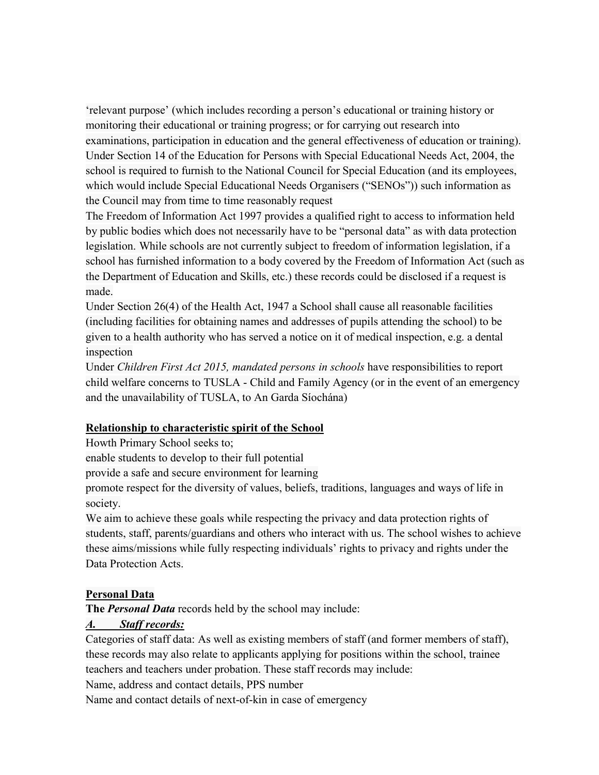'relevant purpose' (which includes recording a person's educational or training history or monitoring their educational or training progress; or for carrying out research into examinations, participation in education and the general effectiveness of education or training). Under Section 14 of the Education for Persons with Special Educational Needs Act, 2004, the school is required to furnish to the National Council for Special Education (and its employees, which would include Special Educational Needs Organisers ("SENOs")) such information as the Council may from time to time reasonably request

The Freedom of Information Act 1997 provides a qualified right to access to information held by public bodies which does not necessarily have to be "personal data" as with data protection legislation. While schools are not currently subject to freedom of information legislation, if a school has furnished information to a body covered by the Freedom of Information Act (such as the Department of Education and Skills, etc.) these records could be disclosed if a request is made.

Under Section 26(4) of the Health Act, 1947 a School shall cause all reasonable facilities (including facilities for obtaining names and addresses of pupils attending the school) to be given to a health authority who has served a notice on it of medical inspection, e.g. a dental inspection

Under *Children First Act 2015, mandated persons in schools* have responsibilities to report child welfare concerns to TUSLA - Child and Family Agency (or in the event of an emergency and the unavailability of TUSLA, to An Garda Síochána)

#### **Relationship to characteristic spirit of the School**

Howth Primary School seeks to;

enable students to develop to their full potential

provide a safe and secure environment for learning

promote respect for the diversity of values, beliefs, traditions, languages and ways of life in society.

We aim to achieve these goals while respecting the privacy and data protection rights of students, staff, parents/guardians and others who interact with us. The school wishes to achieve these aims/missions while fully respecting individuals' rights to privacy and rights under the Data Protection Acts.

### **Personal Data**

**The** *Personal Data* records held by the school may include:

### *A. Staff records:*

Categories of staff data: As well as existing members of staff (and former members of staff), these records may also relate to applicants applying for positions within the school, trainee teachers and teachers under probation. These staff records may include:

Name, address and contact details, PPS number

Name and contact details of next-of-kin in case of emergency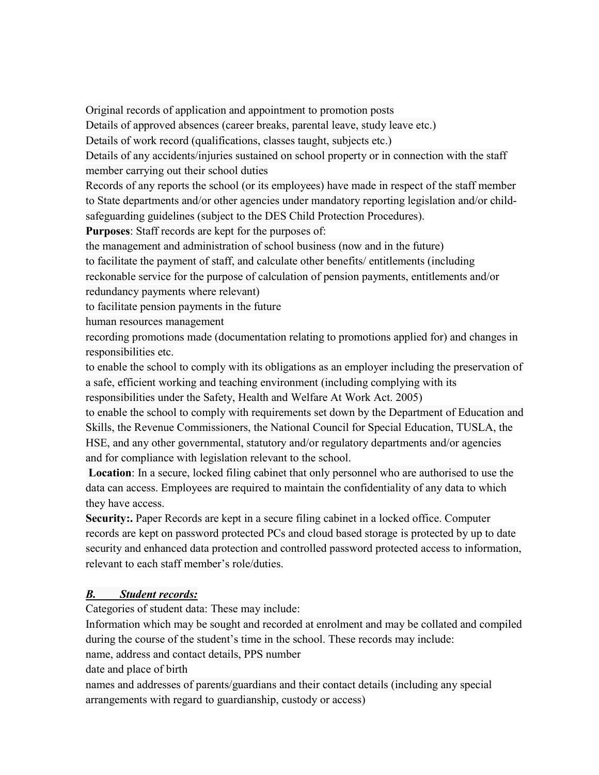Original records of application and appointment to promotion posts

Details of approved absences (career breaks, parental leave, study leave etc.)

Details of work record (qualifications, classes taught, subjects etc.)

Details of any accidents/injuries sustained on school property or in connection with the staff member carrying out their school duties

Records of any reports the school (or its employees) have made in respect of the staff member to State departments and/or other agencies under mandatory reporting legislation and/or childsafeguarding guidelines (subject to the DES Child Protection Procedures).

**Purposes**: Staff records are kept for the purposes of:

the management and administration of school business (now and in the future)

to facilitate the payment of staff, and calculate other benefits/ entitlements (including

reckonable service for the purpose of calculation of pension payments, entitlements and/or redundancy payments where relevant)

to facilitate pension payments in the future

human resources management

recording promotions made (documentation relating to promotions applied for) and changes in responsibilities etc.

to enable the school to comply with its obligations as an employer including the preservation of a safe, efficient working and teaching environment (including complying with its responsibilities under the Safety, Health and Welfare At Work Act. 2005)

to enable the school to comply with requirements set down by the Department of Education and Skills, the Revenue Commissioners, the National Council for Special Education, TUSLA, the HSE, and any other governmental, statutory and/or regulatory departments and/or agencies and for compliance with legislation relevant to the school.

**Location**: In a secure, locked filing cabinet that only personnel who are authorised to use the data can access. Employees are required to maintain the confidentiality of any data to which they have access.

**Security:.** Paper Records are kept in a secure filing cabinet in a locked office. Computer records are kept on password protected PCs and cloud based storage is protected by up to date security and enhanced data protection and controlled password protected access to information, relevant to each staff member's role/duties.

# *B. Student records:*

Categories of student data: These may include:

Information which may be sought and recorded at enrolment and may be collated and compiled during the course of the student's time in the school. These records may include:

name, address and contact details, PPS number

date and place of birth

names and addresses of parents/guardians and their contact details (including any special arrangements with regard to guardianship, custody or access)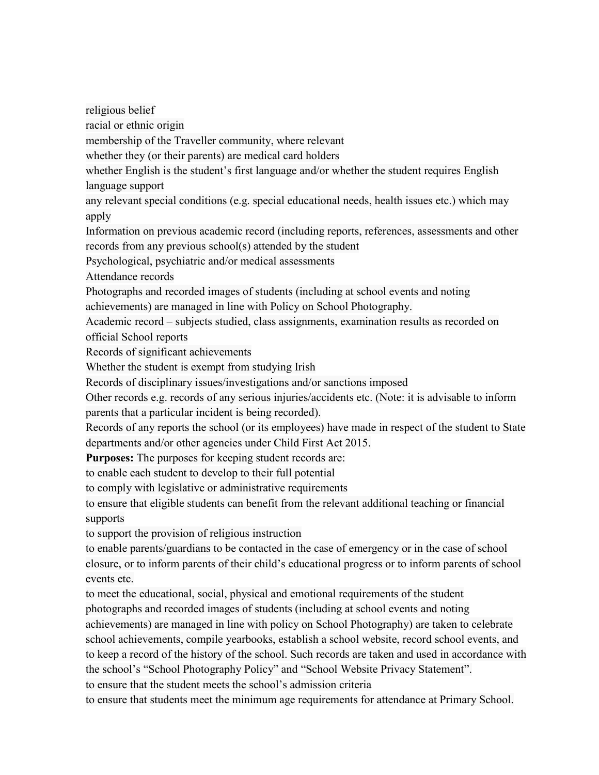religious belief racial or ethnic origin membership of the Traveller community, where relevant whether they (or their parents) are medical card holders whether English is the student's first language and/or whether the student requires English language support any relevant special conditions (e.g. special educational needs, health issues etc.) which may apply Information on previous academic record (including reports, references, assessments and other records from any previous school(s) attended by the student Psychological, psychiatric and/or medical assessments Attendance records Photographs and recorded images of students (including at school events and noting achievements) are managed in line with Policy on School Photography. Academic record – subjects studied, class assignments, examination results as recorded on official School reports Records of significant achievements Whether the student is exempt from studying Irish Records of disciplinary issues/investigations and/or sanctions imposed Other records e.g. records of any serious injuries/accidents etc. (Note: it is advisable to inform parents that a particular incident is being recorded). Records of any reports the school (or its employees) have made in respect of the student to State departments and/or other agencies under Child First Act 2015. **Purposes:** The purposes for keeping student records are: to enable each student to develop to their full potential to comply with legislative or administrative requirements to ensure that eligible students can benefit from the relevant additional teaching or financial supports to support the provision of religious instruction to enable parents/guardians to be contacted in the case of emergency or in the case of school closure, or to inform parents of their child's educational progress or to inform parents of school events etc. to meet the educational, social, physical and emotional requirements of the student photographs and recorded images of students (including at school events and noting achievements) are managed in line with policy on School Photography) are taken to celebrate school achievements, compile yearbooks, establish a school website, record school events, and to keep a record of the history of the school. Such records are taken and used in accordance with the school's "School Photography Policy" and "School Website Privacy Statement". to ensure that the student meets the school's admission criteria to ensure that students meet the minimum age requirements for attendance at Primary School.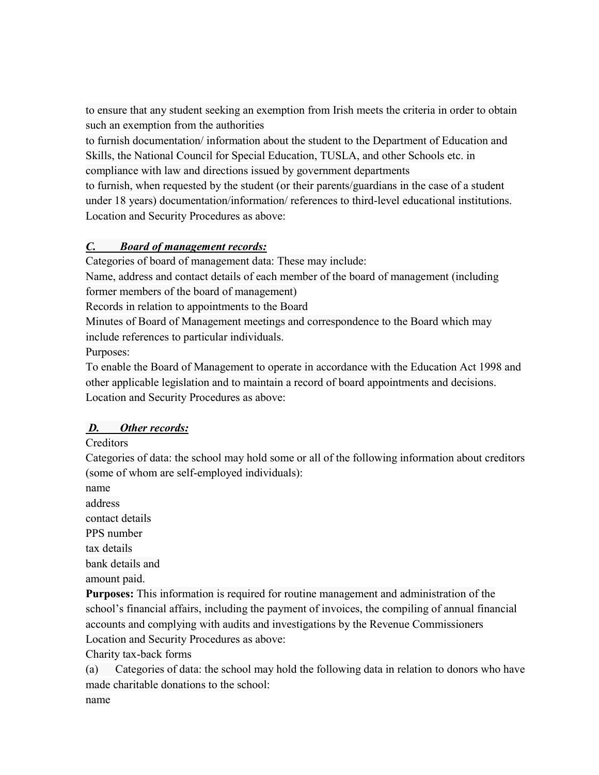to ensure that any student seeking an exemption from Irish meets the criteria in order to obtain such an exemption from the authorities

to furnish documentation/ information about the student to the Department of Education and Skills, the National Council for Special Education, TUSLA, and other Schools etc. in compliance with law and directions issued by government departments

to furnish, when requested by the student (or their parents/guardians in the case of a student under 18 years) documentation/information/ references to third-level educational institutions. Location and Security Procedures as above:

# *C. Board of management records:*

Categories of board of management data: These may include:

Name, address and contact details of each member of the board of management (including former members of the board of management)

Records in relation to appointments to the Board

Minutes of Board of Management meetings and correspondence to the Board which may include references to particular individuals.

Purposes:

To enable the Board of Management to operate in accordance with the Education Act 1998 and other applicable legislation and to maintain a record of board appointments and decisions. Location and Security Procedures as above:

# *D. Other records:*

**Creditors** 

Categories of data: the school may hold some or all of the following information about creditors (some of whom are self-employed individuals):

name

address

contact details

PPS number

tax details

bank details and

amount paid.

**Purposes:** This information is required for routine management and administration of the school's financial affairs, including the payment of invoices, the compiling of annual financial accounts and complying with audits and investigations by the Revenue Commissioners Location and Security Procedures as above:

Charity tax-back forms

(a) Categories of data: the school may hold the following data in relation to donors who have made charitable donations to the school: name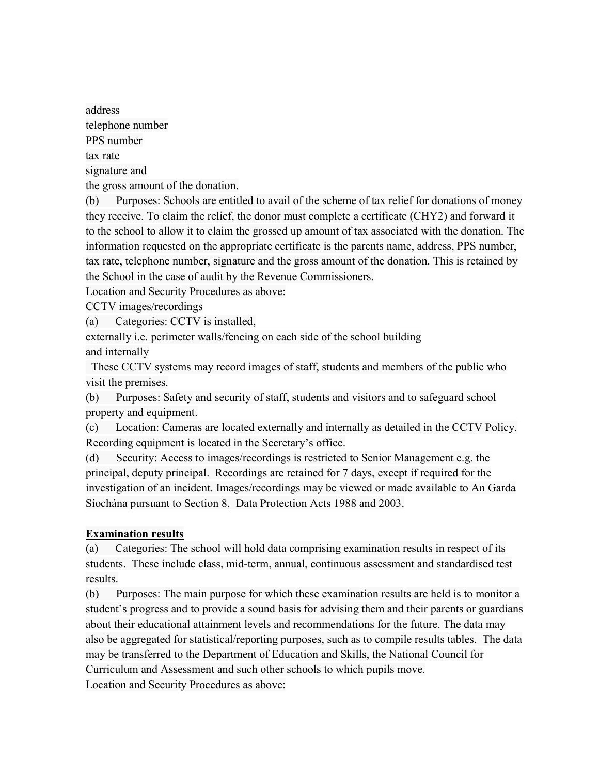address telephone number PPS number tax rate signature and

the gross amount of the donation.

(b) Purposes: Schools are entitled to avail of the scheme of tax relief for donations of money they receive. To claim the relief, the donor must complete a certificate (CHY2) and forward it to the school to allow it to claim the grossed up amount of tax associated with the donation. The information requested on the appropriate certificate is the parents name, address, PPS number, tax rate, telephone number, signature and the gross amount of the donation. This is retained by the School in the case of audit by the Revenue Commissioners.

Location and Security Procedures as above:

CCTV images/recordings

(a) Categories: CCTV is installed,

externally i.e. perimeter walls/fencing on each side of the school building and internally

 These CCTV systems may record images of staff, students and members of the public who visit the premises.

(b) Purposes: Safety and security of staff, students and visitors and to safeguard school property and equipment.

(c) Location: Cameras are located externally and internally as detailed in the CCTV Policy. Recording equipment is located in the Secretary's office.

(d) Security: Access to images/recordings is restricted to Senior Management e.g. the principal, deputy principal. Recordings are retained for 7 days, except if required for the investigation of an incident. Images/recordings may be viewed or made available to An Garda Síochána pursuant to Section 8, Data Protection Acts 1988 and 2003.

### **Examination results**

(a) Categories: The school will hold data comprising examination results in respect of its students. These include class, mid-term, annual, continuous assessment and standardised test results.

(b) Purposes: The main purpose for which these examination results are held is to monitor a student's progress and to provide a sound basis for advising them and their parents or guardians about their educational attainment levels and recommendations for the future. The data may also be aggregated for statistical/reporting purposes, such as to compile results tables. The data may be transferred to the Department of Education and Skills, the National Council for Curriculum and Assessment and such other schools to which pupils move.

Location and Security Procedures as above: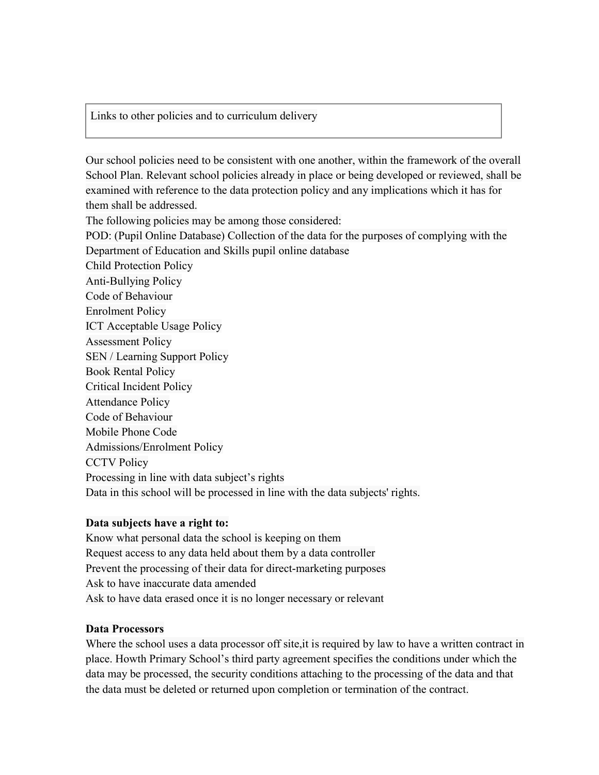Links to other policies and to curriculum delivery

Our school policies need to be consistent with one another, within the framework of the overall School Plan. Relevant school policies already in place or being developed or reviewed, shall be examined with reference to the data protection policy and any implications which it has for them shall be addressed. The following policies may be among those considered: POD: (Pupil Online Database) Collection of the data for the purposes of complying with the Department of Education and Skills pupil online database Child Protection Policy Anti-Bullying Policy Code of Behaviour Enrolment Policy ICT Acceptable Usage Policy Assessment Policy SEN / Learning Support Policy Book Rental Policy Critical Incident Policy Attendance Policy Code of Behaviour Mobile Phone Code Admissions/Enrolment Policy CCTV Policy Processing in line with data subject's rights Data in this school will be processed in line with the data subjects' rights.

#### **Data subjects have a right to:**

Know what personal data the school is keeping on them Request access to any data held about them by a data controller Prevent the processing of their data for direct-marketing purposes Ask to have inaccurate data amended Ask to have data erased once it is no longer necessary or relevant

#### **Data Processors**

Where the school uses a data processor off site,it is required by law to have a written contract in place. Howth Primary School's third party agreement specifies the conditions under which the data may be processed, the security conditions attaching to the processing of the data and that the data must be deleted or returned upon completion or termination of the contract.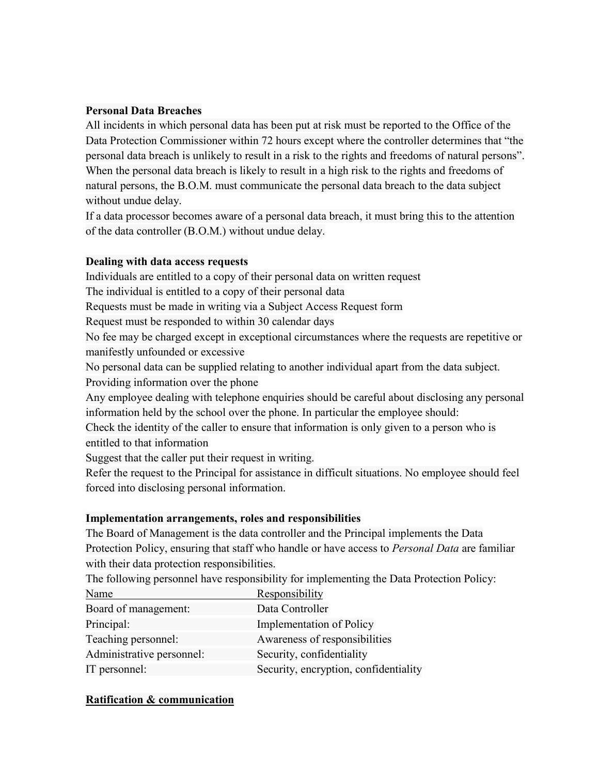#### **Personal Data Breaches**

All incidents in which personal data has been put at risk must be reported to the Office of the Data Protection Commissioner within 72 hours except where the controller determines that "the personal data breach is unlikely to result in a risk to the rights and freedoms of natural persons". When the personal data breach is likely to result in a high risk to the rights and freedoms of natural persons, the B.O.M. must communicate the personal data breach to the data subject without undue delay.

If a data processor becomes aware of a personal data breach, it must bring this to the attention of the data controller (B.O.M.) without undue delay.

### **Dealing with data access requests**

Individuals are entitled to a copy of their personal data on written request The individual is entitled to a copy of their personal data Requests must be made in writing via a Subject Access Request form Request must be responded to within 30 calendar days No fee may be charged except in exceptional circumstances where the requests are repetitive or manifestly unfounded or excessive No personal data can be supplied relating to another individual apart from the data subject. Providing information over the phone Any employee dealing with telephone enquiries should be careful about disclosing any personal information held by the school over the phone. In particular the employee should: Check the identity of the caller to ensure that information is only given to a person who is entitled to that information Suggest that the caller put their request in writing.

Refer the request to the Principal for assistance in difficult situations. No employee should feel forced into disclosing personal information.

### **Implementation arrangements, roles and responsibilities**

The Board of Management is the data controller and the Principal implements the Data Protection Policy, ensuring that staff who handle or have access to *Personal Data* are familiar with their data protection responsibilities.

The following personnel have responsibility for implementing the Data Protection Policy:

| Name                      | Responsibility                        |
|---------------------------|---------------------------------------|
| Board of management:      | Data Controller                       |
| Principal:                | <b>Implementation of Policy</b>       |
| Teaching personnel:       | Awareness of responsibilities         |
| Administrative personnel: | Security, confidentiality             |
| IT personnel:             | Security, encryption, confidentiality |

#### **Ratification & communication**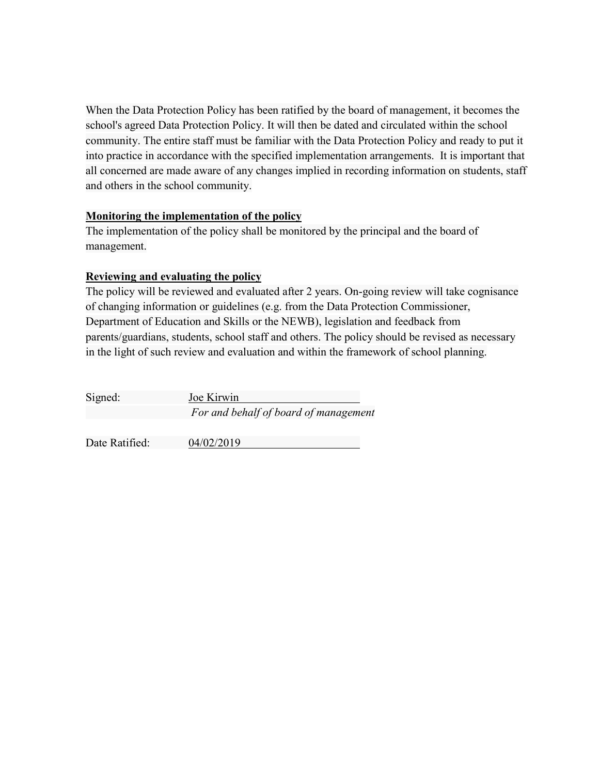When the Data Protection Policy has been ratified by the board of management, it becomes the school's agreed Data Protection Policy. It will then be dated and circulated within the school community. The entire staff must be familiar with the Data Protection Policy and ready to put it into practice in accordance with the specified implementation arrangements. It is important that all concerned are made aware of any changes implied in recording information on students, staff and others in the school community.

### **Monitoring the implementation of the policy**

The implementation of the policy shall be monitored by the principal and the board of management.

### **Reviewing and evaluating the policy**

The policy will be reviewed and evaluated after 2 years. On-going review will take cognisance of changing information or guidelines (e.g. from the Data Protection Commissioner, Department of Education and Skills or the NEWB), legislation and feedback from parents/guardians, students, school staff and others. The policy should be revised as necessary in the light of such review and evaluation and within the framework of school planning.

| Signed:        | Joe Kirwin                            |  |  |
|----------------|---------------------------------------|--|--|
|                | For and behalf of board of management |  |  |
|                |                                       |  |  |
| Date Ratified: | 04/02/2019                            |  |  |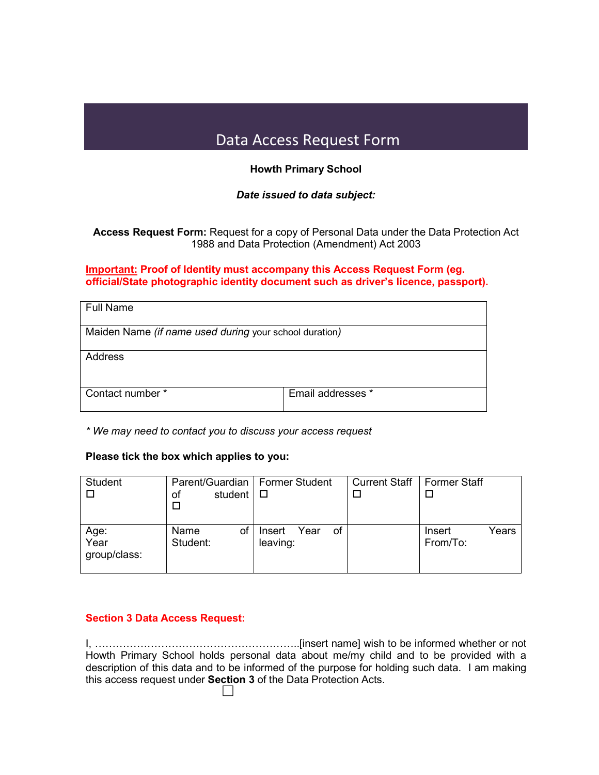# Data Access Request Form

#### **Howth Primary School**

#### *Date issued to data subject:*

**Access Request Form:** Request for a copy of Personal Data under the Data Protection Act 1988 and Data Protection (Amendment) Act 2003

#### **Important: Proof of Identity must accompany this Access Request Form (eg. official/State photographic identity document such as driver's licence, passport).**

| <b>Full Name</b>                                       |                   |  |  |  |
|--------------------------------------------------------|-------------------|--|--|--|
| Maiden Name (if name used during your school duration) |                   |  |  |  |
| Address                                                |                   |  |  |  |
| Contact number *                                       | Email addresses * |  |  |  |

*\* We may need to contact you to discuss your access request*

#### **Please tick the box which applies to you:**

| <b>Student</b>               | Parent/Guardian   Former Student<br>student<br>оf |                                  | Current Staff   Former Staff |                             |
|------------------------------|---------------------------------------------------|----------------------------------|------------------------------|-----------------------------|
| Age:<br>Year<br>group/class: | Name<br>οf<br>Student:                            | of<br>Year<br>Insert<br>leaving: |                              | Years<br>Insert<br>From/To: |

#### **Section 3 Data Access Request:**

I, …………………………………………………..[insert name] wish to be informed whether or not Howth Primary School holds personal data about me/my child and to be provided with a description of this data and to be informed of the purpose for holding such data. I am making this access request under **Section 3** of the Data Protection Acts.